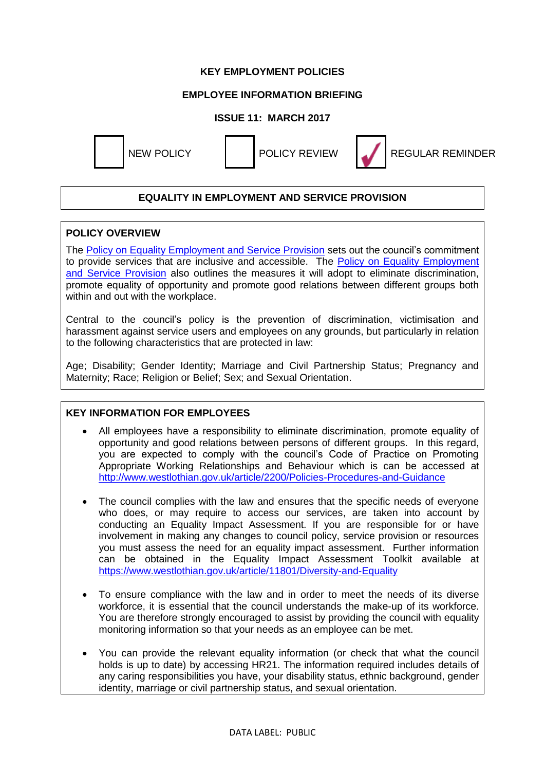## **KEY EMPLOYMENT POLICIES**

# **EMPLOYEE INFORMATION BRIEFING**

## **ISSUE 11: MARCH 2017**



NEW POLICY **I** POLICY REVIEW **REGULAR REMINDER** 

## **EQUALITY IN EMPLOYMENT AND SERVICE PROVISION**

#### **POLICY OVERVIEW**

The [Policy on Equality Employment and Service Provision](https://www.westlothian.gov.uk/media/4273/Policy-on-Equality-Employment-and-Service-Provision/pdf/policy-on-equality-employment-and-service-provision.pdf) sets out the council's commitment to provide services that are inclusive and accessible. The [Policy on Equality Employment](https://www.westlothian.gov.uk/media/4273/Policy-on-Equality-Employment-and-Service-Provision/pdf/policy-on-equality-employment-and-service-provision.pdf)  [and Service Provision](https://www.westlothian.gov.uk/media/4273/Policy-on-Equality-Employment-and-Service-Provision/pdf/policy-on-equality-employment-and-service-provision.pdf) also outlines the measures it will adopt to eliminate discrimination, promote equality of opportunity and promote good relations between different groups both within and out with the workplace.

Central to the council's policy is the prevention of discrimination, victimisation and harassment against service users and employees on any grounds, but particularly in relation to the following characteristics that are protected in law:

Age; Disability; Gender Identity; Marriage and Civil Partnership Status; Pregnancy and Maternity; Race; Religion or Belief; Sex; and Sexual Orientation.

#### **KEY INFORMATION FOR EMPLOYEES**

- All employees have a responsibility to eliminate discrimination, promote equality of opportunity and good relations between persons of different groups. In this regard, you are expected to comply with the council's Code of Practice on Promoting Appropriate Working Relationships and Behaviour which is can be accessed at <http://www.westlothian.gov.uk/article/2200/Policies-Procedures-and-Guidance>
- The council complies with the law and ensures that the specific needs of everyone who does, or may require to access our services, are taken into account by conducting an Equality Impact Assessment. If you are responsible for or have involvement in making any changes to council policy, service provision or resources you must assess the need for an equality impact assessment. Further information can be obtained in the Equality Impact Assessment Toolkit available at <https://www.westlothian.gov.uk/article/11801/Diversity-and-Equality>
- To ensure compliance with the law and in order to meet the needs of its diverse workforce, it is essential that the council understands the make-up of its workforce. You are therefore strongly encouraged to assist by providing the council with equality monitoring information so that your needs as an employee can be met.
- You can provide the relevant equality information (or check that what the council holds is up to date) by accessing HR21. The information required includes details of any caring responsibilities you have, your disability status, ethnic background, gender identity, marriage or civil partnership status, and sexual orientation.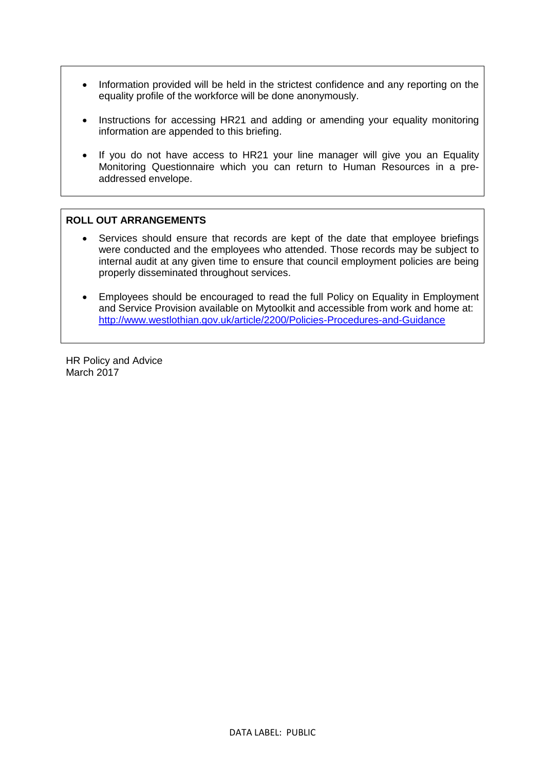- Information provided will be held in the strictest confidence and any reporting on the equality profile of the workforce will be done anonymously.
- Instructions for accessing HR21 and adding or amending your equality monitoring information are appended to this briefing.
- If you do not have access to HR21 your line manager will give you an Equality Monitoring Questionnaire which you can return to Human Resources in a preaddressed envelope.

#### **ROLL OUT ARRANGEMENTS**

- Services should ensure that records are kept of the date that employee briefings were conducted and the employees who attended. Those records may be subject to internal audit at any given time to ensure that council employment policies are being properly disseminated throughout services.
- Employees should be encouraged to read the full Policy on Equality in Employment and Service Provision available on Mytoolkit and accessible from work and home at: <http://www.westlothian.gov.uk/article/2200/Policies-Procedures-and-Guidance>

HR Policy and Advice March 2017